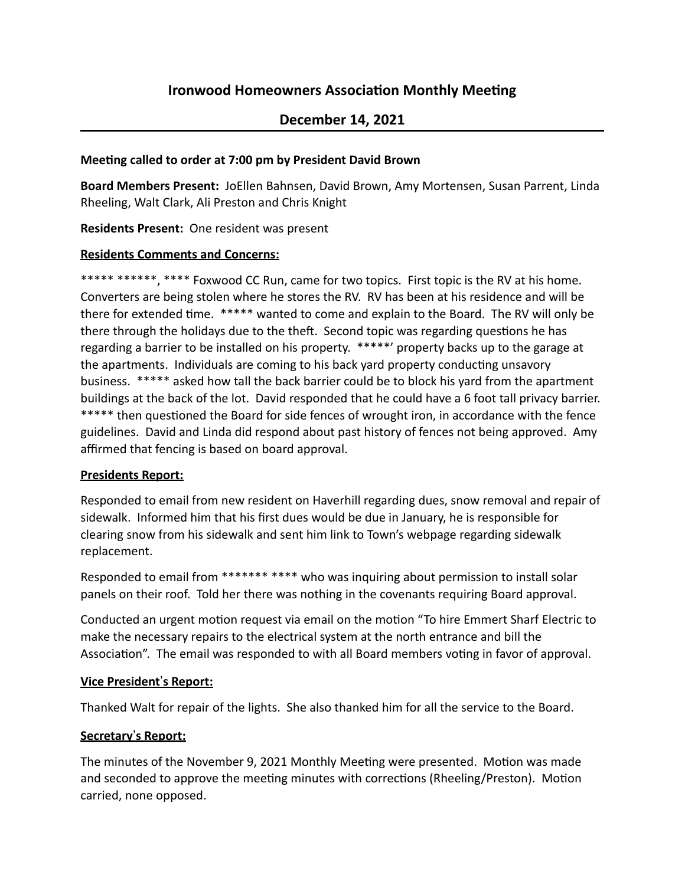# **Ironwood Homeowners Association Monthly Meeting**

# **December 14, 2021**

#### **Meeting called to order at 7:00 pm by President David Brown**

**Board Members Present:** JoEllen Bahnsen, David Brown, Amy Mortensen, Susan Parrent, Linda Rheeling, Walt Clark, Ali Preston and Chris Knight

**Residents Present:** One resident was present

#### **Residents Comments and Concerns:**

\*\*\*\*\* \*\*\*\*\*\*, \*\*\*\* Foxwood CC Run, came for two topics. First topic is the RV at his home. Converters are being stolen where he stores the RV. RV has been at his residence and will be there for extended time. \*\*\*\*\* wanted to come and explain to the Board. The RV will only be there through the holidays due to the theft. Second topic was regarding questions he has regarding a barrier to be installed on his property. \*\*\*\*\*' property backs up to the garage at the apartments. Individuals are coming to his back yard property conducting unsavory business. \*\*\*\*\* asked how tall the back barrier could be to block his yard from the apartment buildings at the back of the lot. David responded that he could have a 6 foot tall privacy barrier. \*\*\*\*\* then questioned the Board for side fences of wrought iron, in accordance with the fence guidelines. David and Linda did respond about past history of fences not being approved. Amy affirmed that fencing is based on board approval.

#### **Presidents Report:**

Responded to email from new resident on Haverhill regarding dues, snow removal and repair of sidewalk. Informed him that his first dues would be due in January, he is responsible for clearing snow from his sidewalk and sent him link to Town's webpage regarding sidewalk replacement.

Responded to email from \*\*\*\*\*\*\* \*\*\*\* who was inquiring about permission to install solar panels on their roof. Told her there was nothing in the covenants requiring Board approval.

Conducted an urgent motion request via email on the motion "To hire Emmert Sharf Electric to make the necessary repairs to the electrical system at the north entrance and bill the Association". The email was responded to with all Board members voting in favor of approval.

# **<u>Vice President's Report:</u>**

Thanked Walt for repair of the lights. She also thanked him for all the service to the Board.

# **Secretary**!**s Report:**

The minutes of the November 9, 2021 Monthly Meeting were presented. Motion was made and seconded to approve the meeting minutes with corrections (Rheeling/Preston). Motion carried, none opposed.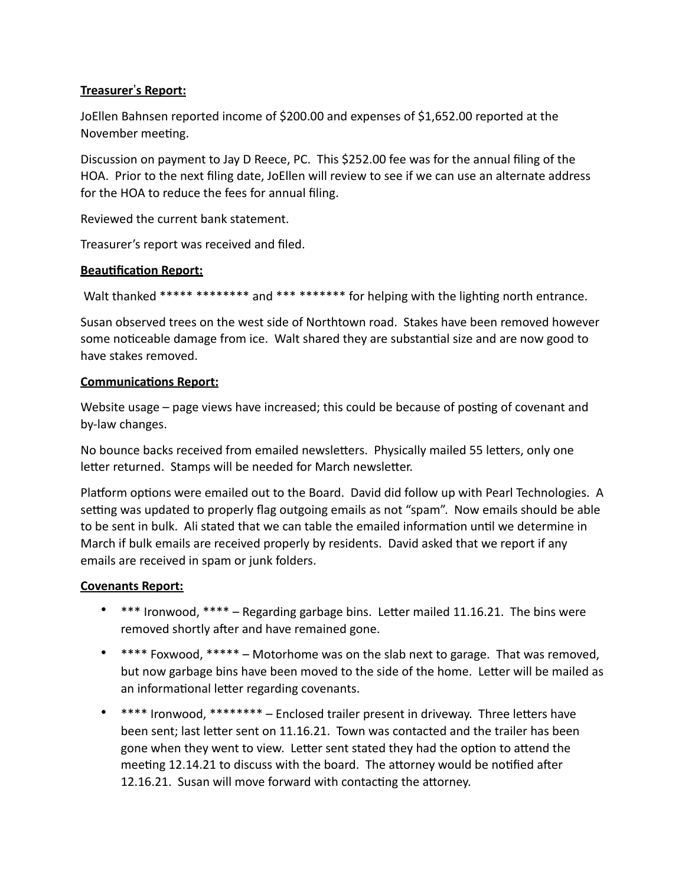# **Treasurer's Report:**

JoEllen Bahnsen reported income of \$200.00 and expenses of \$1,652.00 reported at the November meeting.

Discussion on payment to Jay D Reece, PC. This \$252.00 fee was for the annual filing of the HOA. Prior to the next filing date, JoEllen will review to see if we can use an alternate address for the HOA to reduce the fees for annual filing.

Reviewed the current bank statement.

Treasurer's report was received and filed.

# **Beautification Report:**

Walt thanked \*\*\*\*\* \*\*\*\*\*\*\*\* and \*\*\* \*\*\*\*\*\*\* for helping with the lighting north entrance.

Susan observed trees on the west side of Northtown road. Stakes have been removed however some noticeable damage from ice. Walt shared they are substantial size and are now good to have stakes removed.

# **Communications Report:**

Website usage  $-$  page views have increased; this could be because of posting of covenant and by-law changes.

No bounce backs received from emailed newsletters. Physically mailed 55 letters, only one letter returned. Stamps will be needed for March newsletter.

Platform options were emailed out to the Board. David did follow up with Pearl Technologies. A setting was updated to properly flag outgoing emails as not "spam". Now emails should be able to be sent in bulk. Ali stated that we can table the emailed information until we determine in March if bulk emails are received properly by residents. David asked that we report if any emails are received in spam or junk folders.

# **Covenants Report:**

- $***$  Ironwood,  $***$  Regarding garbage bins. Letter mailed 11.16.21. The bins were removed shortly after and have remained gone.
- \*\*\*\* Foxwood. \*\*\*\*\* Motorhome was on the slab next to garage. That was removed, but now garbage bins have been moved to the side of the home. Letter will be mailed as an informational letter regarding covenants.
- \*\*\*\* Ironwood. \*\*\*\*\*\*\*\* Enclosed trailer present in driveway. Three letters have been sent; last letter sent on 11.16.21. Town was contacted and the trailer has been gone when they went to view. Letter sent stated they had the option to attend the meeting 12.14.21 to discuss with the board. The attorney would be notified after 12.16.21. Susan will move forward with contacting the attorney.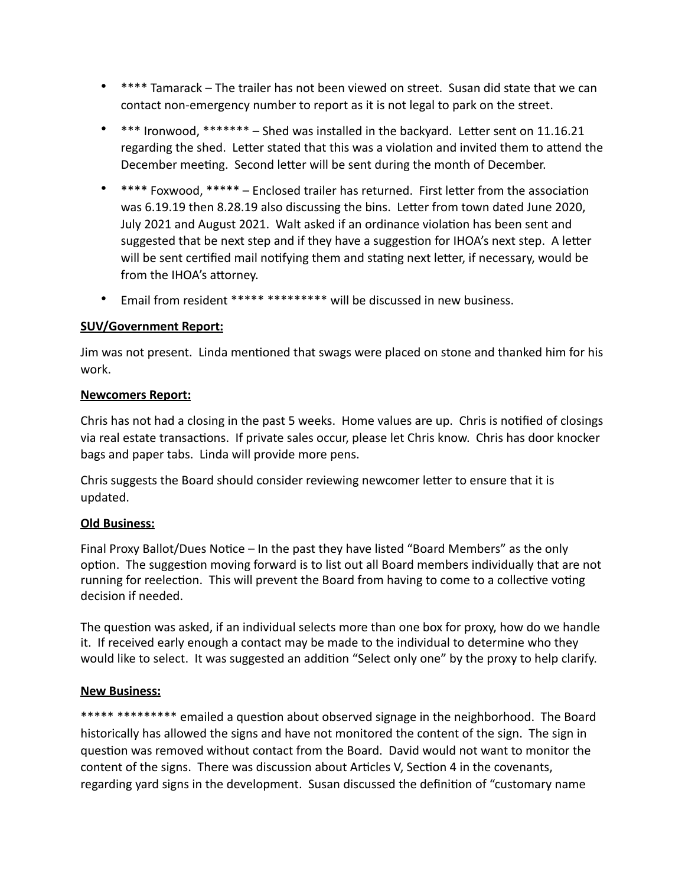- \*\*\*\* Tamarack The trailer has not been viewed on street. Susan did state that we can contact non-emergency number to report as it is not legal to park on the street.
- $***$  Ironwood,  $*****$  Shed was installed in the backyard. Letter sent on 11.16.21 regarding the shed. Letter stated that this was a violation and invited them to attend the December meeting. Second letter will be sent during the month of December.
- \*\*\*\* Foxwood. \*\*\*\*\* Enclosed trailer has returned. First letter from the association was 6.19.19 then 8.28.19 also discussing the bins. Letter from town dated June 2020, July 2021 and August 2021. Walt asked if an ordinance violation has been sent and suggested that be next step and if they have a suggestion for IHOA's next step. A letter will be sent certified mail notifying them and stating next letter, if necessary, would be from the IHOA's attorney.
- Email from resident \*\*\*\*\* \*\*\*\*\*\*\*\*\* will be discussed in new business.

# **SUV/Government Report:**

Jim was not present. Linda mentioned that swags were placed on stone and thanked him for his work.

# **Newcomers Report:**

Chris has not had a closing in the past 5 weeks. Home values are up. Chris is notified of closings via real estate transactions. If private sales occur, please let Chris know. Chris has door knocker bags and paper tabs. Linda will provide more pens.

Chris suggests the Board should consider reviewing newcomer letter to ensure that it is updated.

# **Old Business:**

Final Proxy Ballot/Dues Notice – In the past they have listed "Board Members" as the only option. The suggestion moving forward is to list out all Board members individually that are not running for reelection. This will prevent the Board from having to come to a collective voting decision if needed.

The question was asked, if an individual selects more than one box for proxy, how do we handle it. If received early enough a contact may be made to the individual to determine who they would like to select. It was suggested an addition "Select only one" by the proxy to help clarify.

# **New Business:**

\*\*\*\*\* \*\*\*\*\*\*\*\*\* emailed a question about observed signage in the neighborhood. The Board historically has allowed the signs and have not monitored the content of the sign. The sign in question was removed without contact from the Board. David would not want to monitor the content of the signs. There was discussion about Articles V, Section 4 in the covenants, regarding yard signs in the development. Susan discussed the definition of "customary name